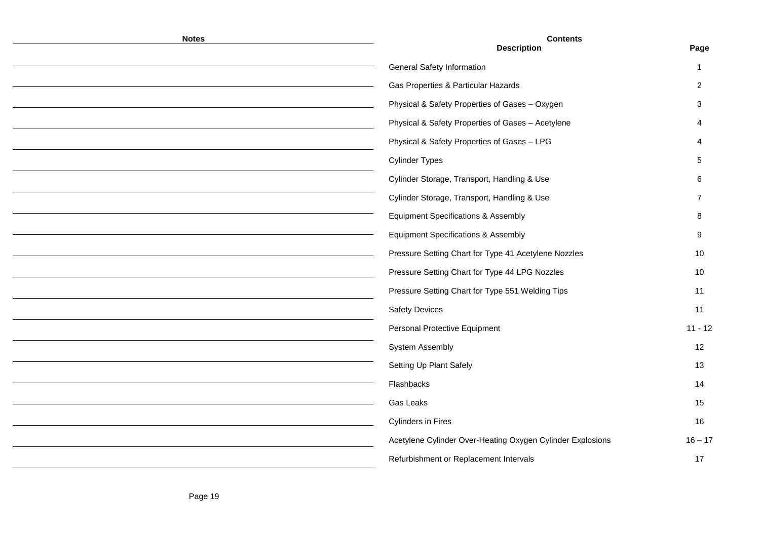| <b>Notes</b> | <b>Contents</b>                                            |                 |  |
|--------------|------------------------------------------------------------|-----------------|--|
|              | <b>Description</b>                                         | Page            |  |
|              | General Safety Information                                 |                 |  |
|              | Gas Properties & Particular Hazards                        | 2               |  |
|              | Physical & Safety Properties of Gases - Oxygen             | 3.              |  |
|              | Physical & Safety Properties of Gases - Acetylene          |                 |  |
|              | Physical & Safety Properties of Gases - LPG                |                 |  |
|              | <b>Cylinder Types</b>                                      | 5.              |  |
|              | Cylinder Storage, Transport, Handling & Use                | 6               |  |
|              | Cylinder Storage, Transport, Handling & Use                |                 |  |
|              | <b>Equipment Specifications &amp; Assembly</b>             | 8               |  |
|              | <b>Equipment Specifications &amp; Assembly</b>             | 9               |  |
|              | Pressure Setting Chart for Type 41 Acetylene Nozzles       | 10              |  |
|              | Pressure Setting Chart for Type 44 LPG Nozzles             | 10              |  |
|              | Pressure Setting Chart for Type 551 Welding Tips           | 11              |  |
|              | <b>Safety Devices</b>                                      | 11              |  |
|              | Personal Protective Equipment                              | $11 - 12$       |  |
|              | System Assembly                                            | 12              |  |
|              | Setting Up Plant Safely                                    | 13              |  |
|              | Flashbacks                                                 | 14              |  |
|              | Gas Leaks                                                  | 15 <sub>1</sub> |  |
|              | <b>Cylinders in Fires</b>                                  | 16              |  |
|              | Acetylene Cylinder Over-Heating Oxygen Cylinder Explosions | $16 - 17$       |  |
|              | Refurbishment or Replacement Intervals                     | 17              |  |
|              |                                                            |                 |  |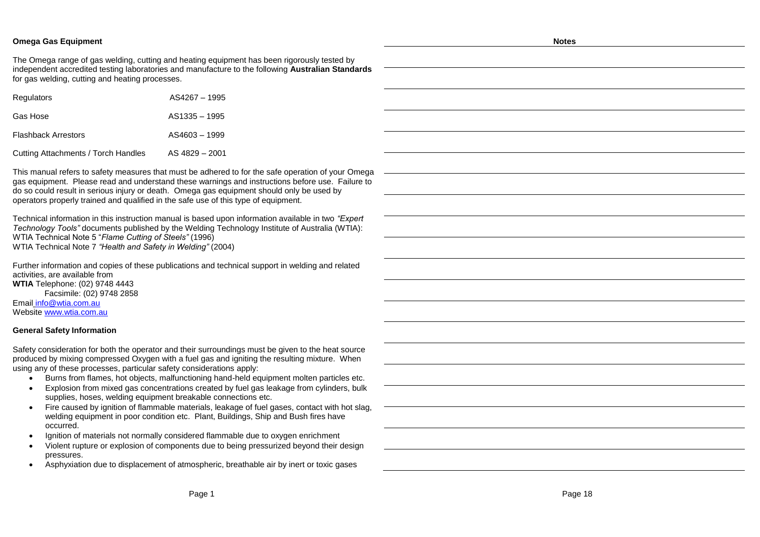### **Omega Gas Equipment**

The Omega range of gas welding, cutting and heating equipment has been rigorously tested by independent accredited testing laboratories and manufacture to the following **Australian Standards** for gas welding, cutting and heating processes.

| Regulators                          | AS4267 - 1995  |
|-------------------------------------|----------------|
| Gas Hose                            | AS1335 - 1995  |
| <b>Flashback Arrestors</b>          | AS4603 - 1999  |
| Cutting Attachments / Torch Handles | AS 4829 - 2001 |

This manual refers to safety measures that must be adhered to for the safe operation of your Omega gas equipment. Please read and understand these warnings and instructions before use. Failure to do so could result in serious injury or death. Omega gas equipment should only be used by operators properly trained and qualified in the safe use of this type of equipment.

Technical information in this instruction manual is based upon information available in two *"Expert Technology Tools"* documents published by the Welding Technology Institute of Australia (WTIA): WTIA Technical Note 5 "*Flame Cutting of Steels"* (1996) WTIA Technical Note 7 *"Health and Safety in Welding"* (2004)

Further information and copies of these publications and technical support in welding and related activities, are available from **WTIA** Telephone: (02) 9748 4443 Facsimile: (02) 9748 2858

Email [info@wtia.com.au](mailto:info@wtia.com.au) Website [www.wtia.com.au](http://www.wtia.com.au/)

#### **General Safety Information**

Safety consideration for both the operator and their surroundings must be given to the heat source produced by mixing compressed Oxygen with a fuel gas and igniting the resulting mixture. When using any of these processes, particular safety considerations apply:

- $\bullet$  Burns from flames, hot objects, malfunctioning hand-held equipment molten particles etc.
- Explosion from mixed gas concentrations created by fuel gas leakage from cylinders, bulk supplies, hoses, welding equipment breakable connections etc.
- Fire caused by ignition of flammable materials, leakage of fuel gases, contact with hot slag, welding equipment in poor condition etc. Plant, Buildings, Ship and Bush fires have occurred.
- Ignition of materials not normally considered flammable due to oxygen enrichment
- Violent rupture or explosion of components due to being pressurized beyond their design pressures.
- Asphyxiation due to displacement of atmospheric, breathable air by inert or toxic gases

**Notes**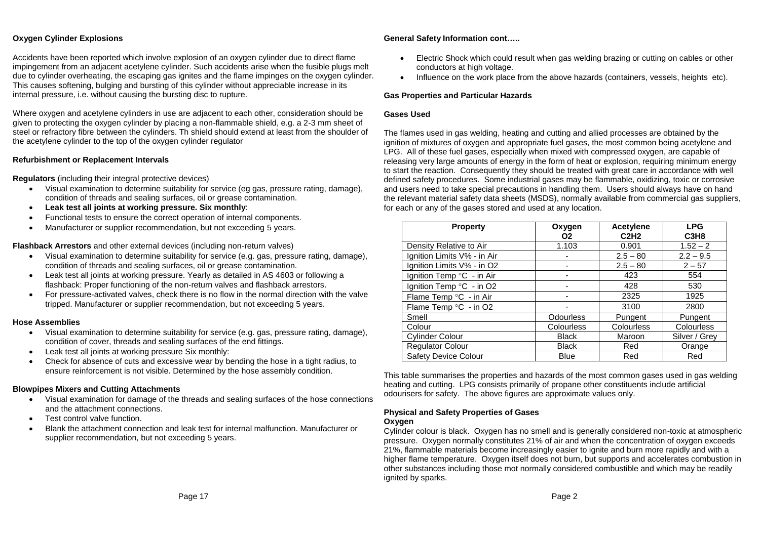## **Oxygen Cylinder Explosions**

Accidents have been reported which involve explosion of an oxygen cylinder due to direct flame impingement from an adjacent acetylene cylinder. Such accidents arise when the fusible plugs melt due to cylinder overheating, the escaping gas ignites and the flame impinges on the oxygen cylinder. This causes softening, bulging and bursting of this cylinder without appreciable increase in its internal pressure, i.e. without causing the bursting disc to rupture.

Where oxygen and acetylene cylinders in use are adjacent to each other, consideration should be given to protecting the oxygen cylinder by placing a non-flammable shield, e.g. a 2-3 mm sheet of steel or refractory fibre between the cylinders. Th shield should extend at least from the shoulder of the acetylene cylinder to the top of the oxygen cylinder regulator

### **Refurbishment or Replacement Intervals**

**Regulators** (including their integral protective devices)

- Visual examination to determine suitability for service (eg gas, pressure rating, damage), condition of threads and sealing surfaces, oil or grease contamination.
- **Leak test all joints at working pressure. Six monthly**:
- Functional tests to ensure the correct operation of internal components.
- Manufacturer or supplier recommendation, but not exceeding 5 years.

**Flashback Arrestors** and other external devices (including non-return valves)

- Visual examination to determine suitability for service (e.g. gas, pressure rating, damage), condition of threads and sealing surfaces, oil or grease contamination.
- Leak test all joints at working pressure. Yearly as detailed in AS 4603 or following a flashback: Proper functioning of the non-return valves and flashback arrestors.
- For pressure-activated valves, check there is no flow in the normal direction with the valve tripped. Manufacturer or supplier recommendation, but not exceeding 5 years.

### **Hose Assemblies**

- Visual examination to determine suitability for service (e.g. gas, pressure rating, damage), condition of cover, threads and sealing surfaces of the end fittings.
- Leak test all joints at working pressure Six monthly:
- Check for absence of cuts and excessive wear by bending the hose in a tight radius, to ensure reinforcement is not visible. Determined by the hose assembly condition.

## **Blowpipes Mixers and Cutting Attachments**

- Visual examination for damage of the threads and sealing surfaces of the hose connections and the attachment connections.
- Test control valve function.
- Blank the attachment connection and leak test for internal malfunction. Manufacturer or supplier recommendation, but not exceeding 5 years.

## **General Safety Information cont…..**

- Electric Shock which could result when gas welding brazing or cutting on cables or other conductors at high voltage.
- Influence on the work place from the above hazards (containers, vessels, heights etc).

### **Gas Properties and Particular Hazards**

### **Gases Used**

The flames used in gas welding, heating and cutting and allied processes are obtained by the ignition of mixtures of oxygen and appropriate fuel gases, the most common being acetylene and LPG. All of these fuel gases, especially when mixed with compressed oxygen, are capable of releasing very large amounts of energy in the form of heat or explosion, requiring minimum energy to start the reaction. Consequently they should be treated with great care in accordance with well defined safety procedures. Some industrial gases may be flammable, oxidizing, toxic or corrosive and users need to take special precautions in handling them. Users should always have on hand the relevant material safety data sheets (MSDS), normally available from commercial gas suppliers, for each or any of the gases stored and used at any location.

| <b>Property</b>             | Oxygen           | <b>Acetylene</b> | <b>LPG</b>                    |
|-----------------------------|------------------|------------------|-------------------------------|
|                             | O <sub>2</sub>   | C2H2             | C <sub>3</sub> H <sub>8</sub> |
| Density Relative to Air     | 1.103            | 0.901            | $1.52 - 2$                    |
| Ignition Limits V% - in Air | ٠                | $2.5 - 80$       | $2.2 - 9.5$                   |
| Ignition Limits V% - in O2  | -                | $2.5 - 80$       | $2 - 57$                      |
| Ignition Temp °C - in Air   |                  | 423              | 554                           |
| Ignition Temp °C - in O2    |                  | 428              | 530                           |
| Flame Temp °C - in Air      |                  | 2325             | 1925                          |
| Flame Temp °C - in O2       |                  | 3100             | 2800                          |
| Smell                       | <b>Odourless</b> | Pungent          | Pungent                       |
| Colour                      | Colourless       | Colourless       | Colourless                    |
| <b>Cylinder Colour</b>      | <b>Black</b>     | Maroon           | Silver / Grey                 |
| <b>Regulator Colour</b>     | <b>Black</b>     | Red              | Orange                        |
| <b>Safety Device Colour</b> | <b>Blue</b>      | Red              | Red                           |

This table summarises the properties and hazards of the most common gases used in gas welding heating and cutting. LPG consists primarily of propane other constituents include artificial odourisers for safety. The above figures are approximate values only.

#### **Physical and Safety Properties of Gases Oxygen**

Cylinder colour is black. Oxygen has no smell and is generally considered non-toxic at atmospheric pressure. Oxygen normally constitutes 21% of air and when the concentration of oxygen exceeds 21%, flammable materials become increasingly easier to ignite and burn more rapidly and with a higher flame temperature. Oxygen itself does not burn, but supports and accelerates combustion in other substances including those mot normally considered combustible and which may be readily ignited by sparks.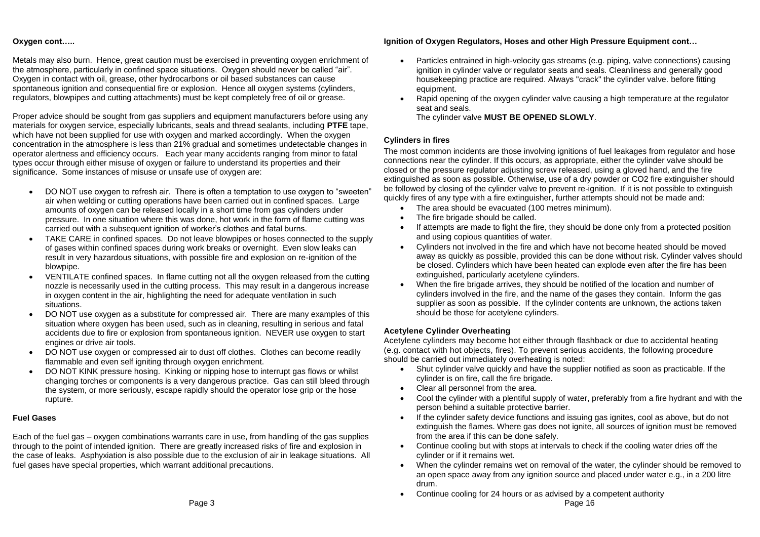## **Oxygen cont…..**

Metals may also burn. Hence, great caution must be exercised in preventing oxygen enrichment of the atmosphere, particularly in confined space situations. Oxygen should never be called "air". Oxygen in contact with oil, grease, other hydrocarbons or oil based substances can cause spontaneous ignition and consequential fire or explosion. Hence all oxygen systems (cylinders, regulators, blowpipes and cutting attachments) must be kept completely free of oil or grease.

Proper advice should be sought from gas suppliers and equipment manufacturers before using any materials for oxygen service, especially lubricants, seals and thread sealants, including **PTFE** tape, which have not been supplied for use with oxygen and marked accordingly. When the oxygen concentration in the atmosphere is less than 21% gradual and sometimes undetectable changes in operator alertness and efficiency occurs. Each year many accidents ranging from minor to fatal types occur through either misuse of oxygen or failure to understand its properties and their significance. Some instances of misuse or unsafe use of oxygen are:

- DO NOT use oxygen to refresh air. There is often a temptation to use oxygen to "sweeten" air when welding or cutting operations have been carried out in confined spaces. Large amounts of oxygen can be released locally in a short time from gas cylinders under pressure. In one situation where this was done, hot work in the form of flame cutting was carried out with a subsequent ignition of worker's clothes and fatal burns.
- TAKE CARE in confined spaces. Do not leave blowpipes or hoses connected to the supply of gases within confined spaces during work breaks or overnight. Even slow leaks can result in very hazardous situations, with possible fire and explosion on re-ignition of the blowpipe.
- VENTILATE confined spaces. In flame cutting not all the oxygen released from the cutting nozzle is necessarily used in the cutting process. This may result in a dangerous increase in oxygen content in the air, highlighting the need for adequate ventilation in such situations.
- DO NOT use oxygen as a substitute for compressed air. There are many examples of this situation where oxygen has been used, such as in cleaning, resulting in serious and fatal accidents due to fire or explosion from spontaneous ignition. NEVER use oxygen to start engines or drive air tools.
- DO NOT use oxygen or compressed air to dust off clothes. Clothes can become readily flammable and even self igniting through oxygen enrichment.
- DO NOT KINK pressure hosing. Kinking or nipping hose to interrupt gas flows or whilst changing torches or components is a very dangerous practice. Gas can still bleed through the system, or more seriously, escape rapidly should the operator lose grip or the hose rupture.

## **Fuel Gases**

Each of the fuel gas – oxygen combinations warrants care in use, from handling of the gas supplies through to the point of intended ignition. There are greatly increased risks of fire and explosion in the case of leaks. Asphyxiation is also possible due to the exclusion of air in leakage situations. All fuel gases have special properties, which warrant additional precautions.

## **Ignition of Oxygen Regulators, Hoses and other High Pressure Equipment cont…**

- Particles entrained in high-velocity gas streams (e.g. piping, valve connections) causing ignition in cylinder valve or regulator seats and seals. Cleanliness and generally good housekeeping practice are required. Always "crack" the cylinder valve. before fitting equipment.
- Rapid opening of the oxygen cylinder valve causing a high temperature at the regulator seat and seals.

The cylinder valve **MUST BE OPENED SLOWLY**.

## **Cylinders in fires**

The most common incidents are those involving ignitions of fuel leakages from regulator and hose connections near the cylinder. If this occurs, as appropriate, either the cylinder valve should be closed or the pressure regulator adjusting screw released, using a gloved hand, and the fire extinguished as soon as possible. Otherwise, use of a dry powder or CO2 fire extinguisher should be followed by closing of the cylinder valve to prevent re-ignition. If it is not possible to extinguish quickly fires of any type with a fire extinguisher, further attempts should not be made and:

- The area should be evacuated (100 metres minimum).
- The fire brigade should be called.
- If attempts are made to fight the fire, they should be done only from a protected position and using copious quantities of water.
- Cylinders not involved in the fire and which have not become heated should be moved away as quickly as possible, provided this can be done without risk. Cylinder valves should be closed. Cylinders which have been heated can explode even after the fire has been extinguished, particularly acetylene cylinders.
- When the fire brigade arrives, they should be notified of the location and number of cylinders involved in the fire, and the name of the gases they contain. Inform the gas supplier as soon as possible. If the cylinder contents are unknown, the actions taken should be those for acetylene cylinders.

## **Acetylene Cylinder Overheating**

Acetylene cylinders may become hot either through flashback or due to accidental heating (e.g. contact with hot objects, fires). To prevent serious accidents, the following procedure should be carried out immediately overheating is noted:

- Shut cylinder valve quickly and have the supplier notified as soon as practicable. If the cylinder is on fire, call the fire brigade.
- Clear all personnel from the area.
- Cool the cylinder with a plentiful supply of water, preferably from a fire hydrant and with the person behind a suitable protective barrier.
- If the cylinder safety device functions and issuing gas ignites, cool as above, but do not extinguish the flames. Where gas does not ignite, all sources of ignition must be removed from the area if this can be done safely.
- Continue cooling but with stops at intervals to check if the cooling water dries off the cylinder or if it remains wet.
- When the cylinder remains wet on removal of the water, the cylinder should be removed to an open space away from any ignition source and placed under water e.g., in a 200 litre drum.
- Continue cooling for 24 hours or as advised by a competent authority Page 3 Page 16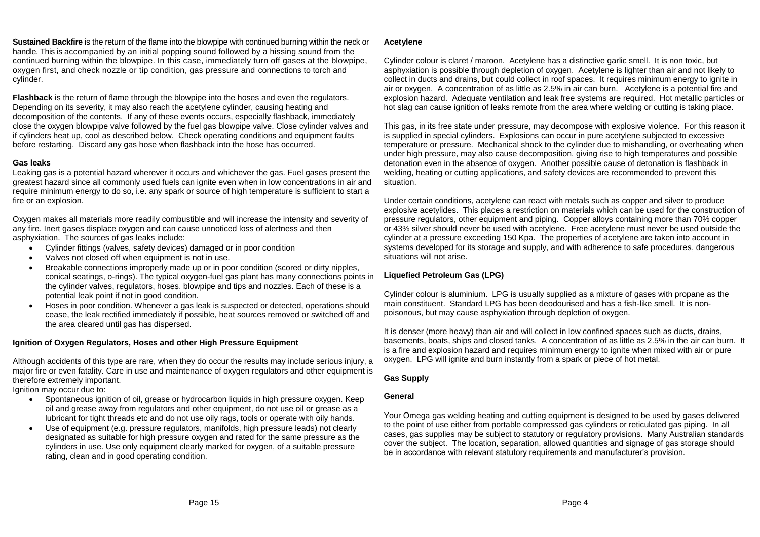**Sustained Backfire** is the return of the flame into the blowpipe with continued burning within the neck or handle. This is accompanied by an initial popping sound followed by a hissing sound from the continued burning within the blowpipe. In this case, immediately turn off gases at the blowpipe, oxygen first, and check nozzle or tip condition, gas pressure and connections to torch and cylinder.

**Flashback** is the return of flame through the blowpipe into the hoses and even the regulators. Depending on its severity, it may also reach the acetylene cylinder, causing heating and decomposition of the contents. If any of these events occurs, especially flashback, immediately close the oxygen blowpipe valve followed by the fuel gas blowpipe valve. Close cylinder valves and if cylinders heat up, cool as described below. Check operating conditions and equipment faults before restarting. Discard any gas hose when flashback into the hose has occurred.

## **Gas leaks**

Leaking gas is a potential hazard wherever it occurs and whichever the gas. Fuel gases present the greatest hazard since all commonly used fuels can ignite even when in low concentrations in air and require minimum energy to do so, i.e. any spark or source of high temperature is sufficient to start a fire or an explosion.

Oxygen makes all materials more readily combustible and will increase the intensity and severity of any fire. Inert gases displace oxygen and can cause unnoticed loss of alertness and then asphyxiation. The sources of gas leaks include:

- Cylinder fittings (valves, safety devices) damaged or in poor condition
- Valves not closed off when equipment is not in use.
- Breakable connections improperly made up or in poor condition (scored or dirty nipples, conical seatings, o-rings). The typical oxygen-fuel gas plant has many connections points in the cylinder valves, regulators, hoses, blowpipe and tips and nozzles. Each of these is a potential leak point if not in good condition.
- Hoses in poor condition. Whenever a gas leak is suspected or detected, operations should cease, the leak rectified immediately if possible, heat sources removed or switched off and the area cleared until gas has dispersed.

## **Ignition of Oxygen Regulators, Hoses and other High Pressure Equipment**

Although accidents of this type are rare, when they do occur the results may include serious injury, a major fire or even fatality. Care in use and maintenance of oxygen regulators and other equipment is therefore extremely important.

Ignition may occur due to:

- Spontaneous ignition of oil, grease or hydrocarbon liquids in high pressure oxygen. Keep oil and grease away from regulators and other equipment, do not use oil or grease as a lubricant for tight threads etc and do not use oily rags, tools or operate with oily hands.
- Use of equipment (e.g. pressure regulators, manifolds, high pressure leads) not clearly designated as suitable for high pressure oxygen and rated for the same pressure as the cylinders in use. Use only equipment clearly marked for oxygen, of a suitable pressure rating, clean and in good operating condition.

## **Acetylene**

Cylinder colour is claret / maroon. Acetylene has a distinctive garlic smell. It is non toxic, but asphyxiation is possible through depletion of oxygen. Acetylene is lighter than air and not likely to collect in ducts and drains, but could collect in roof spaces. It requires minimum energy to ignite in air or oxygen. A concentration of as little as 2.5% in air can burn. Acetylene is a potential fire and explosion hazard. Adequate ventilation and leak free systems are required. Hot metallic particles or hot slag can cause ignition of leaks remote from the area where welding or cutting is taking place.

This gas, in its free state under pressure, may decompose with explosive violence. For this reason it is supplied in special cylinders. Explosions can occur in pure acetylene subjected to excessive temperature or pressure. Mechanical shock to the cylinder due to mishandling, or overheating when under high pressure, may also cause decomposition, giving rise to high temperatures and possible detonation even in the absence of oxygen. Another possible cause of detonation is flashback in welding, heating or cutting applications, and safety devices are recommended to prevent this situation.

Under certain conditions, acetylene can react with metals such as copper and silver to produce explosive acetylides. This places a restriction on materials which can be used for the construction of pressure regulators, other equipment and piping. Copper alloys containing more than 70% copper or 43% silver should never be used with acetylene. Free acetylene must never be used outside the cylinder at a pressure exceeding 150 Kpa. The properties of acetylene are taken into account in systems developed for its storage and supply, and with adherence to safe procedures, dangerous situations will not arise.

# **Liquefied Petroleum Gas (LPG)**

Cylinder colour is aluminium. LPG is usually supplied as a mixture of gases with propane as the main constituent. Standard LPG has been deodourised and has a fish-like smell. It is nonpoisonous, but may cause asphyxiation through depletion of oxygen.

It is denser (more heavy) than air and will collect in low confined spaces such as ducts, drains, basements, boats, ships and closed tanks. A concentration of as little as 2.5% in the air can burn. It is a fire and explosion hazard and requires minimum energy to ignite when mixed with air or pure oxygen. LPG will ignite and burn instantly from a spark or piece of hot metal.

# **Gas Supply**

# **General**

Your Omega gas welding heating and cutting equipment is designed to be used by gases delivered to the point of use either from portable compressed gas cylinders or reticulated gas piping. In all cases, gas supplies may be subject to statutory or regulatory provisions. Many Australian standards cover the subject. The location, separation, allowed quantities and signage of gas storage should be in accordance with relevant statutory requirements and manufacturer's provision.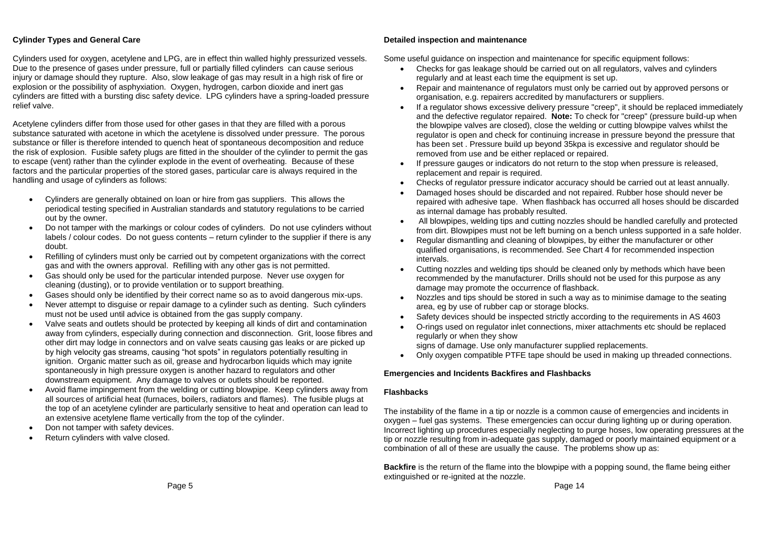### **Cylinder Types and General Care**

Cylinders used for oxygen, acetylene and LPG, are in effect thin walled highly pressurized vessels. Due to the presence of gases under pressure, full or partially filled cylinders can cause serious injury or damage should they rupture. Also, slow leakage of gas may result in a high risk of fire or explosion or the possibility of asphyxiation. Oxygen, hydrogen, carbon dioxide and inert gas cylinders are fitted with a bursting disc safety device. LPG cylinders have a spring-loaded pressure relief valve.

Acetylene cylinders differ from those used for other gases in that they are filled with a porous substance saturated with acetone in which the acetylene is dissolved under pressure. The porous substance or filler is therefore intended to quench heat of spontaneous decomposition and reduce the risk of explosion. Fusible safety plugs are fitted in the shoulder of the cylinder to permit the gas to escape (vent) rather than the cylinder explode in the event of overheating. Because of these factors and the particular properties of the stored gases, particular care is always required in the handling and usage of cylinders as follows:

- Cylinders are generally obtained on loan or hire from gas suppliers. This allows the periodical testing specified in Australian standards and statutory regulations to be carried out by the owner.
- Do not tamper with the markings or colour codes of cylinders. Do not use cylinders without labels / colour codes. Do not guess contents – return cylinder to the supplier if there is any doubt.
- Refilling of cylinders must only be carried out by competent organizations with the correct gas and with the owners approval. Refilling with any other gas is not permitted.
- Gas should only be used for the particular intended purpose. Never use oxygen for cleaning (dusting), or to provide ventilation or to support breathing.
- Gases should only be identified by their correct name so as to avoid dangerous mix-ups.
- Never attempt to disguise or repair damage to a cylinder such as denting. Such cylinders must not be used until advice is obtained from the gas supply company.
- Valve seats and outlets should be protected by keeping all kinds of dirt and contamination away from cylinders, especially during connection and disconnection. Grit, loose fibres and other dirt may lodge in connectors and on valve seats causing gas leaks or are picked up by high velocity gas streams, causing "hot spots" in regulators potentially resulting in ignition. Organic matter such as oil, grease and hydrocarbon liquids which may ignite spontaneously in high pressure oxygen is another hazard to regulators and other downstream equipment. Any damage to valves or outlets should be reported.
- Avoid flame impingement from the welding or cutting blowpipe. Keep cylinders away from all sources of artificial heat (furnaces, boilers, radiators and flames). The fusible plugs at the top of an acetylene cylinder are particularly sensitive to heat and operation can lead to an extensive acetylene flame vertically from the top of the cylinder.
- Don not tamper with safety devices.
- Return cylinders with valve closed.

#### **Detailed inspection and maintenance**

Some useful guidance on inspection and maintenance for specific equipment follows:

- Checks for gas leakage should be carried out on all regulators, valves and cylinders regularly and at least each time the equipment is set up.
- Repair and maintenance of regulators must only be carried out by approved persons or organisation, e.g. repairers accredited by manufacturers or suppliers.
- If a regulator shows excessive delivery pressure "creep", it should be replaced immediately and the defective regulator repaired. **Note:** To check for "creep" (pressure build-up when the blowpipe valves are closed), close the welding or cutting blowpipe valves whilst the regulator is open and check for continuing increase in pressure beyond the pressure that has been set . Pressure build up beyond 35kpa is excessive and regulator should be removed from use and be either replaced or repaired.
- If pressure gauges or indicators do not return to the stop when pressure is released, replacement and repair is required.
- Checks of regulator pressure indicator accuracy should be carried out at least annually.
- Damaged hoses should be discarded and not repaired. Rubber hose should never be repaired with adhesive tape. When flashback has occurred all hoses should be discarded as internal damage has probably resulted.
- All blowpipes, welding tips and cutting nozzles should be handled carefully and protected from dirt. Blowpipes must not be left burning on a bench unless supported in a safe holder.
- Regular dismantling and cleaning of blowpipes, by either the manufacturer or other qualified organisations, is recommended. See Chart 4 for recommended inspection intervals.
- Cutting nozzles and welding tips should be cleaned only by methods which have been recommended by the manufacturer. Drills should not be used for this purpose as any damage may promote the occurrence of flashback.
- Nozzles and tips should be stored in such a way as to minimise damage to the seating area, eg by use of rubber cap or storage blocks.
- Safety devices should be inspected strictly according to the requirements in AS 4603
- O-rings used on regulator inlet connections, mixer attachments etc should be replaced regularly or when they show signs of damage. Use only manufacturer supplied replacements.

Only oxygen compatible PTFE tape should be used in making up threaded connections.

## **Emergencies and Incidents Backfires and Flashbacks**

### **Flashbacks**

The instability of the flame in a tip or nozzle is a common cause of emergencies and incidents in oxygen – fuel gas systems. These emergencies can occur during lighting up or during operation. Incorrect lighting up procedures especially neglecting to purge hoses, low operating pressures at the tip or nozzle resulting from in-adequate gas supply, damaged or poorly maintained equipment or a combination of all of these are usually the cause. The problems show up as:

**Backfire** is the return of the flame into the blowpipe with a popping sound, the flame being either extinguished or re-ignited at the nozzle.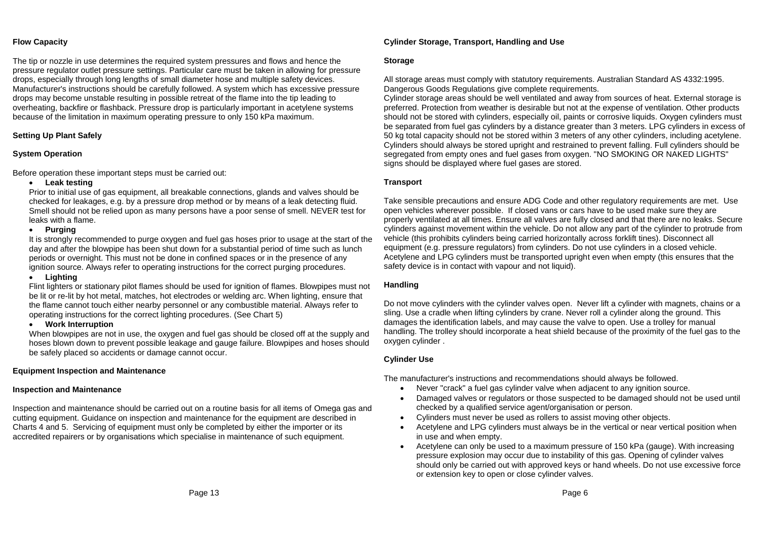## **Flow Capacity**

The tip or nozzle in use determines the required system pressures and flows and hence the pressure regulator outlet pressure settings. Particular care must be taken in allowing for pressure drops, especially through long lengths of small diameter hose and multiple safety devices. Manufacturer's instructions should be carefully followed. A system which has excessive pressure drops may become unstable resulting in possible retreat of the flame into the tip leading to overheating, backfire or flashback. Pressure drop is particularly important in acetylene systems because of the limitation in maximum operating pressure to only 150 kPa maximum.

## **Setting Up Plant Safely**

## **System Operation**

Before operation these important steps must be carried out:

### **Leak testing**

Prior to initial use of gas equipment, all breakable connections, glands and valves should be checked for leakages, e.g. by a pressure drop method or by means of a leak detecting fluid. Smell should not be relied upon as many persons have a poor sense of smell. NEVER test for leaks with a flame.

## **Purging**

It is strongly recommended to purge oxygen and fuel gas hoses prior to usage at the start of the day and after the blowpipe has been shut down for a substantial period of time such as lunch periods or overnight. This must not be done in confined spaces or in the presence of any ignition source. Always refer to operating instructions for the correct purging procedures.

### **Lighting**

Flint lighters or stationary pilot flames should be used for ignition of flames. Blowpipes must not be lit or re-lit by hot metal, matches, hot electrodes or welding arc. When lighting, ensure that the flame cannot touch either nearby personnel or any combustible material. Always refer to operating instructions for the correct lighting procedures. (See Chart 5)

### **Work Interruption**

When blowpipes are not in use, the oxygen and fuel gas should be closed off at the supply and hoses blown down to prevent possible leakage and gauge failure. Blowpipes and hoses should be safely placed so accidents or damage cannot occur.

## **Equipment Inspection and Maintenance**

## **Inspection and Maintenance**

Inspection and maintenance should be carried out on a routine basis for all items of Omega gas and cutting equipment. Guidance on inspection and maintenance for the equipment are described in Charts 4 and 5. Servicing of equipment must only be completed by either the importer or its accredited repairers or by organisations which specialise in maintenance of such equipment.

# **Cylinder Storage, Transport, Handling and Use**

## **Storage**

All storage areas must comply with statutory requirements. Australian Standard AS 4332:1995. Dangerous Goods Regulations give complete requirements.

Cylinder storage areas should be well ventilated and away from sources of heat. External storage is preferred. Protection from weather is desirable but not at the expense of ventilation. Other products should not be stored with cylinders, especially oil, paints or corrosive liquids. Oxygen cylinders must be separated from fuel gas cylinders by a distance greater than 3 meters. LPG cylinders in excess of 50 kg total capacity should not be stored within 3 meters of any other cylinders, including acetylene. Cylinders should always be stored upright and restrained to prevent falling. Full cylinders should be segregated from empty ones and fuel gases from oxygen. "NO SMOKING OR NAKED LIGHTS" signs should be displayed where fuel gases are stored.

## **Transport**

Take sensible precautions and ensure ADG Code and other regulatory requirements are met. Use open vehicles wherever possible. If closed vans or cars have to be used make sure they are properly ventilated at all times. Ensure all valves are fully closed and that there are no leaks. Secure cylinders against movement within the vehicle. Do not allow any part of the cylinder to protrude from vehicle (this prohibits cylinders being carried horizontally across forklift tines). Disconnect all equipment (e.g. pressure regulators) from cylinders. Do not use cylinders in a closed vehicle. Acetylene and LPG cylinders must be transported upright even when empty (this ensures that the safety device is in contact with vapour and not liquid).

## **Handling**

Do not move cylinders with the cylinder valves open. Never lift a cylinder with magnets, chains or a sling. Use a cradle when lifting cylinders by crane. Never roll a cylinder along the ground. This damages the identification labels, and may cause the valve to open. Use a trolley for manual handling. The trolley should incorporate a heat shield because of the proximity of the fuel gas to the oxygen cylinder .

## **Cylinder Use**

The manufacturer's instructions and recommendations should always be followed.

- Never "crack" a fuel gas cylinder valve when adiacent to any ignition source.
- Damaged valves or regulators or those suspected to be damaged should not be used until checked by a qualified service agent/organisation or person.
- Cylinders must never be used as rollers to assist moving other objects.
- Acetylene and LPG cylinders must always be in the vertical or near vertical position when in use and when empty.
- Acetylene can only be used to a maximum pressure of 150 kPa (gauge). With increasing pressure explosion may occur due to instability of this gas. Opening of cylinder valves should only be carried out with approved keys or hand wheels. Do not use excessive force or extension key to open or close cylinder valves.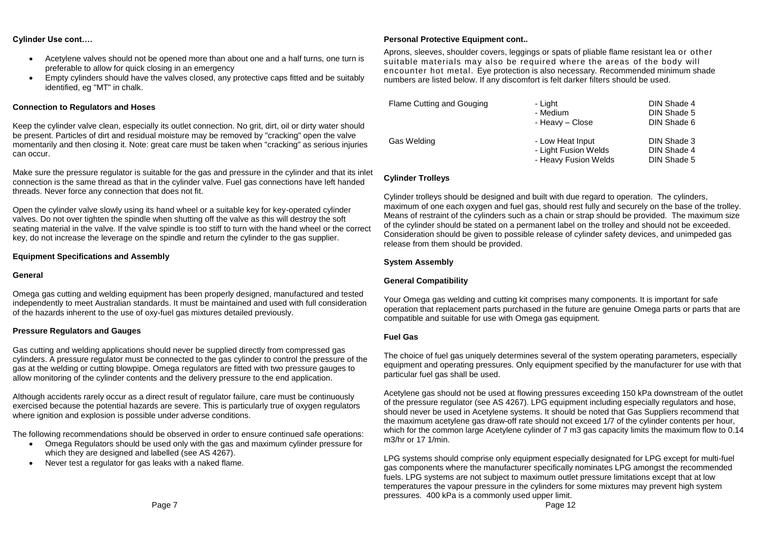### **Cylinder Use cont….**

- Acetylene valves should not be opened more than about one and a half turns, one turn is preferable to allow for quick closing in an emergency
- Empty cylinders should have the valves closed, any protective caps fitted and be suitably identified, eg "MT" in chalk.

### **Connection to Regulators and Hoses**

Keep the cylinder valve clean, especially its outlet connection. No grit, dirt, oil or dirty water should be present. Particles of dirt and residual moisture may be removed by "cracking" open the valve momentarily and then closing it. Note: great care must be taken when "cracking" as serious injuries can occur.

Make sure the pressure regulator is suitable for the gas and pressure in the cylinder and that its inlet connection is the same thread as that in the cylinder valve. Fuel gas connections have left handed threads. Never force any connection that does not fit.

Open the cylinder valve slowly using its hand wheel or a suitable key for key-operated cylinder valves. Do not over tighten the spindle when shutting off the valve as this will destroy the soft seating material in the valve. If the valve spindle is too stiff to turn with the hand wheel or the correct key, do not increase the leverage on the spindle and return the cylinder to the gas supplier.

### **Equipment Specifications and Assembly**

### **General**

Omega gas cutting and welding equipment has been properly designed, manufactured and tested independently to meet Australian standards. It must be maintained and used with full consideration of the hazards inherent to the use of oxy-fuel gas mixtures detailed previously.

### **Pressure Regulators and Gauges**

Gas cutting and welding applications should never be supplied directly from compressed gas cylinders. A pressure regulator must be connected to the gas cylinder to control the pressure of the gas at the welding or cutting blowpipe. Omega regulators are fitted with two pressure gauges to allow monitoring of the cylinder contents and the delivery pressure to the end application.

Although accidents rarely occur as a direct result of regulator failure, care must be continuously exercised because the potential hazards are severe. This is particularly true of oxygen regulators where ignition and explosion is possible under adverse conditions.

The following recommendations should be observed in order to ensure continued safe operations:

- Omega Regulators should be used only with the gas and maximum cylinder pressure for which they are designed and labelled (see AS 4267).
- Never test a regulator for gas leaks with a naked flame.

## **Personal Protective Equipment cont..**

Aprons, sleeves, shoulder covers, leggings or spats of pliable flame resistant lea or other suitable materials may also be required where the areas of the body will encounter hot metal. Eye protection is also necessary. Recommended minimum shade numbers are listed below. If any discomfort is felt darker filters should be used.

| Flame Cutting and Gouging | - Light<br>- Medium<br>- Heavy - Close                           | DIN Shade 4<br>DIN Shade 5<br>DIN Shade 6 |
|---------------------------|------------------------------------------------------------------|-------------------------------------------|
| Gas Welding               | - Low Heat Input<br>- Light Fusion Welds<br>- Heavy Fusion Welds | DIN Shade 3<br>DIN Shade 4<br>DIN Shade 5 |

## **Cylinder Trolleys**

Cylinder trolleys should be designed and built with due regard to operation. The cylinders, maximum of one each oxygen and fuel gas, should rest fully and securely on the base of the trolley. Means of restraint of the cylinders such as a chain or strap should be provided. The maximum size of the cylinder should be stated on a permanent label on the trolley and should not be exceeded. Consideration should be given to possible release of cylinder safety devices, and unimpeded gas release from them should be provided.

### **System Assembly**

## **General Compatibility**

Your Omega gas welding and cutting kit comprises many components. It is important for safe operation that replacement parts purchased in the future are genuine Omega parts or parts that are compatible and suitable for use with Omega gas equipment.

## **Fuel Gas**

The choice of fuel gas uniquely determines several of the system operating parameters, especially equipment and operating pressures. Only equipment specified by the manufacturer for use with that particular fuel gas shall be used.

Acetylene gas should not be used at flowing pressures exceeding 150 kPa downstream of the outlet of the pressure regulator (see AS 4267). LPG equipment including especially regulators and hose, should never be used in Acetylene systems. It should be noted that Gas Suppliers recommend that the maximum acetylene gas draw-off rate should not exceed 1/7 of the cylinder contents per hour, which for the common large Acetylene cylinder of 7 m3 gas capacity limits the maximum flow to 0.14 m3/hr or 17 1/min.

LPG systems should comprise only equipment especially designated for LPG except for multi-fuel gas components where the manufacturer specifically nominates LPG amongst the recommended fuels. LPG systems are not subject to maximum outlet pressure limitations except that at low temperatures the vapour pressure in the cylinders for some mixtures may prevent high system pressures. 400 kPa is a commonly used upper limit.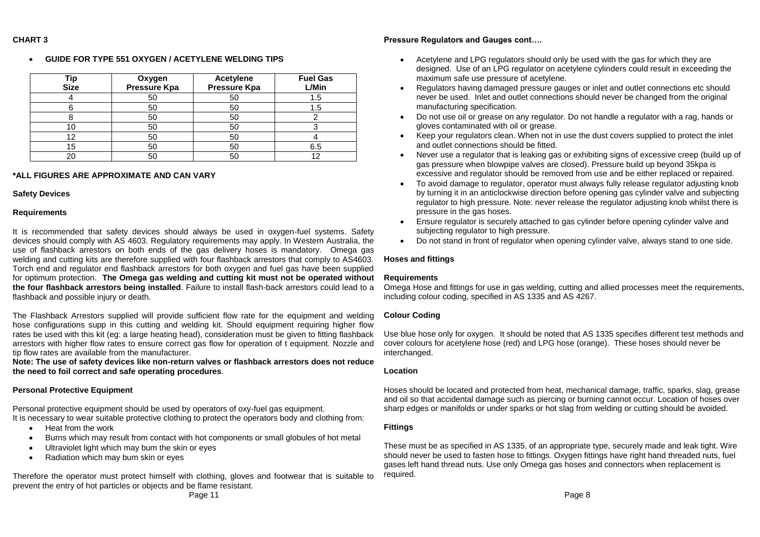### **CHART 3**

### **GUIDE FOR TYPE 551 OXYGEN / ACETYLENE WELDING TIPS**

| Tip<br><b>Size</b> | Oxygen<br>Pressure Kpa | <b>Acetylene</b><br>Pressure Kpa | <b>Fuel Gas</b><br>L/Min |
|--------------------|------------------------|----------------------------------|--------------------------|
|                    | 50                     | 50                               | .5                       |
|                    | 50                     | 50                               | .5                       |
|                    | 50                     | 50                               |                          |
|                    | 50                     | 50                               |                          |
| 12                 | 50                     | 50                               |                          |
| 15                 | 50                     | 50                               | 6.5                      |
|                    | 5С                     | 50                               |                          |

### **\*ALL FIGURES ARE APPROXIMATE AND CAN VARY**

#### **Safety Devices**

#### **Requirements**

It is recommended that safety devices should always be used in oxygen-fuel systems. Safety devices should comply with AS 4603. Regulatory requirements may apply. In Western Australia, the use of flashback arrestors on both ends of the gas delivery hoses is mandatory. Omega gas welding and cutting kits are therefore supplied with four flashback arrestors that comply to AS4603. Torch end and regulator end flashback arrestors for both oxygen and fuel gas have been supplied for optimum protection. **The Omega gas welding and cutting kit must not be operated without the four flashback arrestors being installed**. Failure to install flash-back arrestors could lead to a flashback and possible injury or death.

The Flashback Arrestors supplied will provide sufficient flow rate for the equipment and welding hose configurations supp in this cutting and welding kit. Should equipment requiring higher flow rates be used with this kit (eg: a large heating head), consideration must be given to fitting flashback arrestors with higher flow rates to ensure correct gas flow for operation of t equipment. Nozzle and tip flow rates are available from the manufacturer.

**Note: The use of safety devices like non-return valves or flashback arrestors does not reduce the need to foil correct and safe operating procedures**.

### **Personal Protective Equipment**

Personal protective equipment should be used by operators of oxy-fuel gas equipment. It is necessary to wear suitable protective clothing to protect the operators body and clothing from:

- Heat from the work
- Burns which may result from contact with hot components or small globules of hot metal
- Ultraviolet light which may bum the skin or eyes
- Radiation which may bum skin or eyes

Therefore the operator must protect himself with clothing, gloves and footwear that is suitable to prevent the entry of hot particles or objects and be flame resistant.

## **Pressure Regulators and Gauges cont….**

- Acetylene and LPG regulators should only be used with the gas for which they are designed. Use of an LPG regulator on acetylene cylinders could result in exceeding the maximum safe use pressure of acetylene.
- Regulators having damaged pressure gauges or inlet and outlet connections etc should never be used. Inlet and outlet connections should never be changed from the original manufacturing specification.
- Do not use oil or grease on any regulator. Do not handle a regulator with a rag, hands or gloves contaminated with oil or grease.
- Keep your regulators clean. When not in use the dust covers supplied to protect the inlet and outlet connections should be fitted.
- Never use a regulator that is leaking gas or exhibiting signs of excessive creep (build up of gas pressure when blowpipe valves are closed). Pressure build up bevond 35kpa is excessive and regulator should be removed from use and be either replaced or repaired.
- To avoid damage to regulator, operator must always fully release regulator adjusting knob by turning it in an anticlockwise direction before opening gas cylinder valve and subjecting regulator to high pressure. Note: never release the regulator adjusting knob whilst there is pressure in the gas hoses.
- Ensure regulator is securely attached to gas cylinder before opening cylinder valve and subjecting regulator to high pressure.
- Do not stand in front of regulator when opening cylinder valve, always stand to one side.

### **Hoses and fittings**

## **Requirements**

Omega Hose and fittings for use in gas welding, cutting and allied processes meet the requirements, including colour coding, specified in AS 1335 and AS 4267.

## **Colour Coding**

Use blue hose only for oxygen. It should be noted that AS 1335 specifies different test methods and cover colours for acetylene hose (red) and LPG hose (orange). These hoses should never be interchanged.

## **Location**

Hoses should be located and protected from heat, mechanical damage, traffic, sparks, slag, grease and oil so that accidental damage such as piercing or burning cannot occur. Location of hoses over sharp edges or manifolds or under sparks or hot slag from welding or cutting should be avoided.

## **Fittings**

These must be as specified in AS 1335, of an appropriate type, securely made and leak tight. Wire should never be used to fasten hose to fittings. Oxygen fittings have right hand threaded nuts, fuel gases left hand thread nuts. Use only Omega gas hoses and connectors when replacement is required.